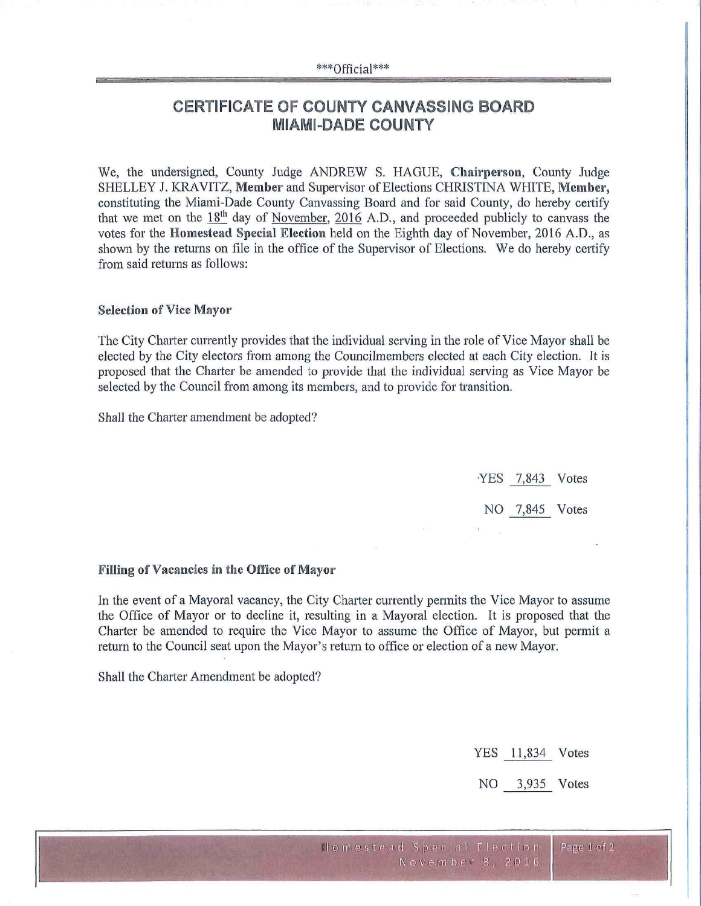#### \*\*\*Official\*\*\*

# **CERTIFICATE OF COUNTY CANVASSING BOARD MIAMI-DADE COUNTY**

We, the undersigned, County Judge ANDREW S. HAGUE, Chairperson, County Judge SHELLEY J. KR.A VITZ, **Member** and Supervisor of Elections CHRISTINA WHITE, **Membei·,**  constituting the Miami-Dade County Canvassing Board and for said County, do hereby certify that we met on the  $18<sup>th</sup>$  day of November, 2016 A.D., and proceeded publicly to canvass the votes for the **Homestead Special Election** held on the Eighth day of November, 2016 A.D., as shown by the returns on file in the office of the Supervisor of Elections. We do hereby certify from said returns as follows:

### **Selection of Vice Mayor**

The City Charter currently provides that the individual serving in the role of Vice Mayor shall be elected by the City electors from among the Councilmembers elected at each City election. It is proposed that the Charter be amended to provide that the individual serving as Vice Mayor be selected by the Council from among its members, and to provide for transition.

Shall the Charter amendment be adopted?

.YES 7,843 Votes NO 7,845 Votes

#### **Filling of Vacancies in the Office of Mayor**

In the event of a Mayoral vacancy, the City Charter currently permits the Vice Mayor to assume the Office of Mayor or to decline it, resulting in a Mayoral election. It is proposed that the Charter be amended to require the Vice Mayor to assume the Office of Mayor, but permit a return to the Council seat upon the Mayor's return to office or election of a new Mayor.

Shall the Charter Amendment be adopted?

YES 11,834 Votes

NO 3,935 Votes

Page 1 of 2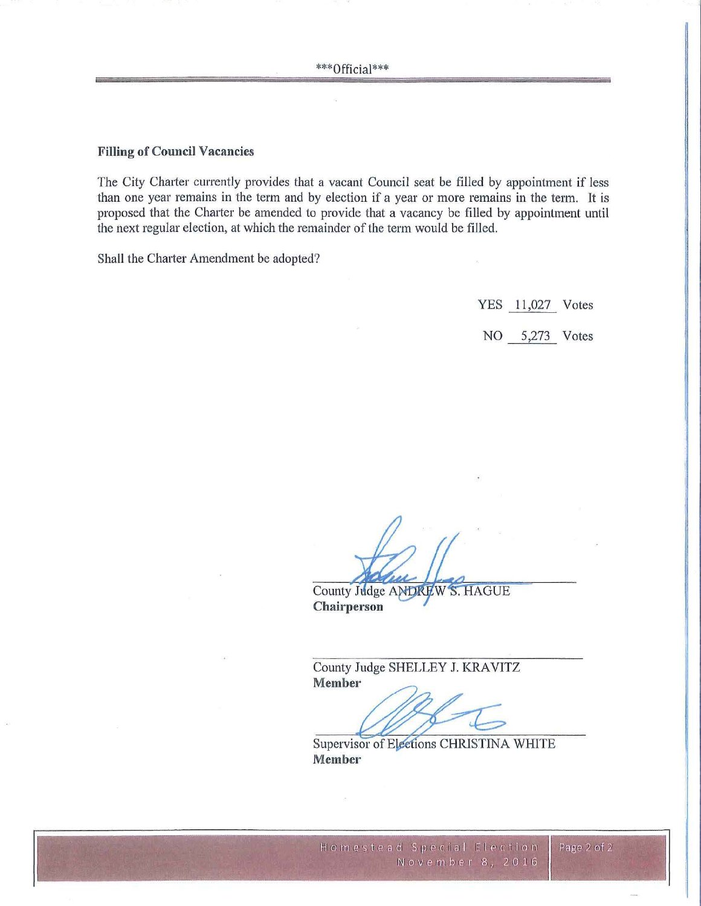## **Filling of Council Vacancies**

The City Charter currently provides that a vacant Council seat be filled by appointment if less than one year remains in the term and by election if a year or more remains in the term. It is proposed that the Charter be amended to provide that a vacancy be filled by appointment until the next regular election, at which the remainder of the term would be filled.

Shall the Charter Amendment be adopted?

YES 11,027 Votes

NO 5,273 Votes

County Judge ANDREW S. HAGUE Chairperson

County Judge SHELLEY J. KRAVITZ **Member** 

Supervisor of Elections CHRISTINA WHITE Member

Page 2 of 2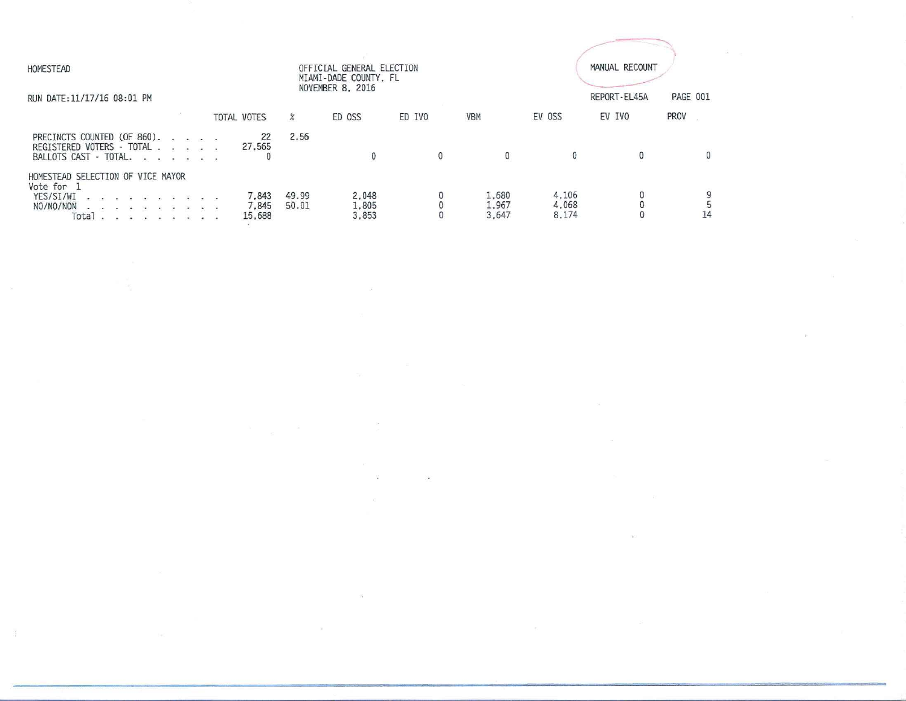| HOMESTEAD                                                                                                                                                                                                                                                                                                                                                                                                                                                                                                                                                                           | OFFICIAL GENERAL ELECTION<br>MIAMI-DADE COUNTY, FL<br>NOVEMBER 8, 2016 |                |                         |            |                         |                         | MANUAL RECOUNT |             |  |  |
|-------------------------------------------------------------------------------------------------------------------------------------------------------------------------------------------------------------------------------------------------------------------------------------------------------------------------------------------------------------------------------------------------------------------------------------------------------------------------------------------------------------------------------------------------------------------------------------|------------------------------------------------------------------------|----------------|-------------------------|------------|-------------------------|-------------------------|----------------|-------------|--|--|
| RUN DATE: 11/17/16 08:01 PM                                                                                                                                                                                                                                                                                                                                                                                                                                                                                                                                                         |                                                                        |                |                         |            |                         |                         | REPORT-EL45A   | PAGE 001    |  |  |
|                                                                                                                                                                                                                                                                                                                                                                                                                                                                                                                                                                                     | <b>TOTAL VOTES</b>                                                     | $\chi$         | ED OSS                  | ED IVO     | <b>VBM</b>              | EV OSS                  | EV IVO         | PROV        |  |  |
| PRECINCTS COUNTED (OF 860).<br>REGISTERED VOTERS - TOTAL<br>BALLOTS CAST - TOTAL.                                                                                                                                                                                                                                                                                                                                                                                                                                                                                                   | 22<br>27,565                                                           | 2.56           | 0                       | $^{\circ}$ | $\mathbf{0}$            |                         | 0              | $\mathbf 0$ |  |  |
| HOMESTEAD SELECTION OF VICE MAYOR<br>Vote for 1<br>YES/SI/WI<br>.<br>NO/NO/NON<br><b>A.</b> B. K. A. B. R. R.<br>Total<br>$\label{eq:12} \frac{1}{2}, \qquad \frac{1}{2}, \qquad \frac{1}{2}, \qquad \frac{1}{2}, \qquad \frac{1}{2}, \qquad \frac{1}{2}, \qquad \frac{1}{2}, \qquad \frac{1}{2}, \qquad \frac{1}{2}, \qquad \frac{1}{2}, \qquad \frac{1}{2}, \qquad \frac{1}{2}, \qquad \frac{1}{2}, \qquad \frac{1}{2}, \qquad \frac{1}{2}, \qquad \frac{1}{2}, \qquad \frac{1}{2}, \qquad \frac{1}{2}, \qquad \frac{1}{2}, \qquad \frac{1}{2}, \qquad \frac{1}{2}, \qquad \frac$ | 7,843<br>7.845<br>15,688                                               | 49.99<br>50.01 | 2.048<br>1,805<br>3.853 | 0          | 1,680<br>1.967<br>3.647 | 4.106<br>4,068<br>8.174 |                | 14          |  |  |

 $\label{eq:1.1} \frac{d\mathbf{y}}{d\mathbf{y}} = \frac{\mathbf{y}}{d\mathbf{y}}$ 

 $\label{eq:R1} R_{\rm{max}} = 1.003 \times 10^{-3} \, \rm{Mpc}$ 

 $\label{eq:3.1} \mathcal{B} = \mathcal{B} \tag{3.2}$ 

 $\label{eq:1.1} \mathcal{H} = \mathcal{H} \otimes \mathcal{H}$ 

 $\label{eq:3.1} \mathbb{R}^2 \longrightarrow \mathbb{R}^2$ 

 $\label{eq:2.1} \Delta \Sigma_{\rm{eff}} = \frac{1}{2} \sum_{i=1}^{N} \frac{1}{2} \sum_{i=1}^{N} \frac{1}{2} \sum_{i=1}^{N} \frac{1}{2} \sum_{i=1}^{N} \frac{1}{2} \sum_{i=1}^{N} \frac{1}{2} \sum_{i=1}^{N} \frac{1}{2} \sum_{i=1}^{N} \frac{1}{2} \sum_{i=1}^{N} \frac{1}{2} \sum_{i=1}^{N} \frac{1}{2} \sum_{i=1}^{N} \frac{1}{2} \sum_{i=1}^{N} \frac{1}{2} \sum_{i=1$ 

 $\label{eq:2.1} \begin{array}{ll} \mathbb{R} & \mathbb{R} \\ \mathbb{R} & \mathbb{R} \\ \mathbb{R} & \mathbb{R} \end{array}$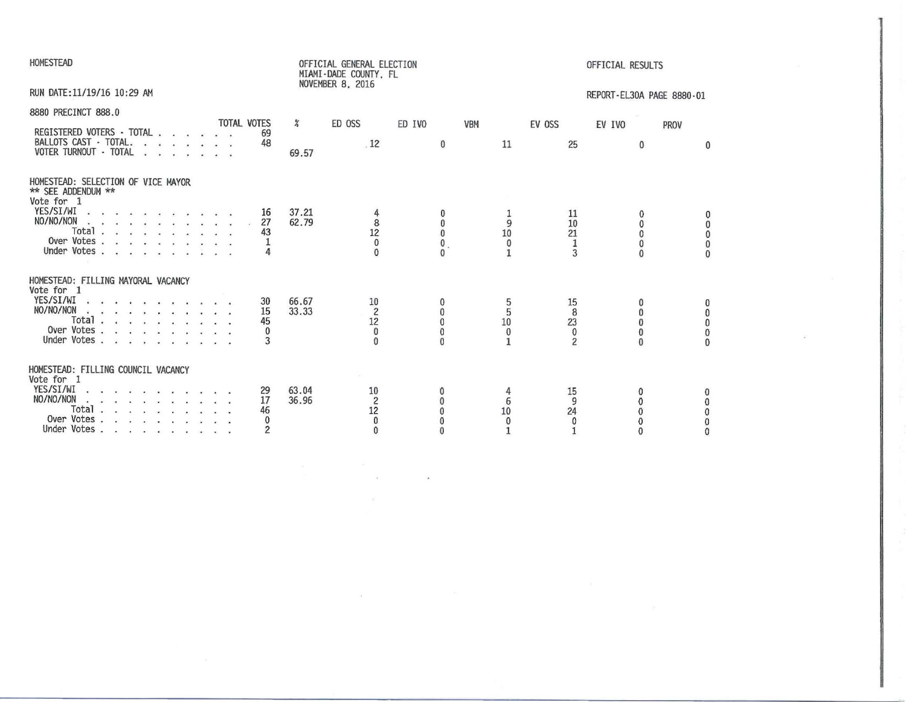| <b>HOMESTEAD</b>                                                                                                                                                                                                                                                                                                                                                               | OFFICIAL GENERAL ELECTION<br>MIAMI-DADE COUNTY, FL<br>NOVEMBER 8, 2016                                               | OFFICIAL RESULTS                                                                                                                                                                       |
|--------------------------------------------------------------------------------------------------------------------------------------------------------------------------------------------------------------------------------------------------------------------------------------------------------------------------------------------------------------------------------|----------------------------------------------------------------------------------------------------------------------|----------------------------------------------------------------------------------------------------------------------------------------------------------------------------------------|
| RUN DATE:11/19/16 10:29 AM                                                                                                                                                                                                                                                                                                                                                     |                                                                                                                      | REPORT-EL30A PAGE 8880-01                                                                                                                                                              |
| 8880 PRECINCT 888.0                                                                                                                                                                                                                                                                                                                                                            |                                                                                                                      |                                                                                                                                                                                        |
| <b>TOTAL VOTES</b><br>REGISTERED VOTERS - TOTAL<br>69<br>BALLOTS CAST - TOTAL.<br>48<br>VOTER TURNOUT - TOTAL                                                                                                                                                                                                                                                                  | $\frac{a}{b}$<br>ED OSS<br>ED IVO<br>.12<br>$\bf{0}$<br>69.57                                                        | VBM<br>EV OSS<br>EV IVO<br>PROV<br>11<br>25<br>$\bf{0}$<br>0                                                                                                                           |
| HOMESTEAD: SELECTION OF VICE MAYOR<br>** SEE ADDENDUM **<br>Vote for 1                                                                                                                                                                                                                                                                                                         |                                                                                                                      |                                                                                                                                                                                        |
| YES/SI/WI<br>16<br>NO/NO/NON<br>27<br>Total $\ldots$ $\ldots$ $\ldots$ $\ldots$<br>43<br>Over Votes<br>Under Votes                                                                                                                                                                                                                                                             | 37.21<br>$\begin{array}{c} 8 \\ 12 \end{array}$<br>62.79<br>$\bf{0}$<br>$\bf{0}$<br>$\theta$<br>$\mathbf{0}$         | 11<br>9<br>10<br>0<br>$\bf{0}$<br>10<br>21<br>$\overline{0}$<br>$\mathbf{0}$<br>$\mathbf 1$<br>0<br>1<br>3<br>$\bf{0}$                                                                 |
| HOMESTEAD: FILLING MAYORAL VACANCY<br>Vote for 1<br>YES/SI/WI<br>30<br><b>2 5 6 6 7 8 8 9 9 9 9 9</b><br>NO/NO/NON<br>15<br>Total<br>45<br>Over Votes<br>$\bf{0}$<br>Under Votes<br>3                                                                                                                                                                                          | 66.67<br>10<br>$\overline{c}$<br>33.33<br>$\Omega$<br>12<br>$\pmb{0}$<br>$\theta$<br>$\theta$                        | 15<br>5<br>8<br>$\Omega$<br>$\mathbf{0}$<br>10<br>23<br>$\mathbf{0}$<br>$\mathbf{0}$<br>$\bf{0}$<br>$\bf{0}$<br>$\bf{0}$<br>$\theta$<br>$\mathbf{1}$<br>$\overline{c}$<br>$\mathbf{0}$ |
| HOMESTEAD: FILLING COUNCIL VACANCY<br>Vote for 1<br>YES/SI/WI<br>29<br>$\begin{array}{cccccccccccccc} \bullet & \bullet & \bullet & \bullet & \bullet & \bullet & \bullet & \bullet & \bullet & \bullet \end{array}$<br>NO/NO/NON<br>17<br>$\mathbf{z}$ , and $\mathbf{z}$ , as we have an excellent<br>Total<br>46<br>Over Votes<br>$\bf{0}$<br>Under Votes<br>$\overline{2}$ | 63.04<br>10<br>$\overline{c}$<br>36.96<br>$\Omega$<br>$1\overline{2}$<br>$\Omega$<br>$\pmb{0}$<br>0<br>$\bf{0}$<br>0 | 15<br>9<br>6<br>10<br>24<br>$\bf{0}$<br>$\Omega$<br>0<br>$\mathbf{0}$<br>0<br>$\bf{0}$<br>$\Omega$<br>$\Omega$                                                                         |

 $\label{eq:1.1} \begin{array}{cccccccccc} \mathcal{H} & & & & \mathcal{H} & & & & \mathcal{H} & & & & \mathcal{H} & & & & \mathcal{H} & & & & \mathcal{H} & & & & \mathcal{H} & & & & \mathcal{H} & & & & \mathcal{H} & & & & \mathcal{H} & & & & \mathcal{H} & & & & \mathcal{H} & & & & \mathcal{H} & & & & & \mathcal{H} & & & & & \mathcal{H} & & & & & \mathcal{H} & & & & & \mathcal{H} & & & & & \mathcal{H} & & & & & \mathcal{H} & & & & & \mathcal{H$ 

 $\mathcal{L}^{\left( 1\right) }$  .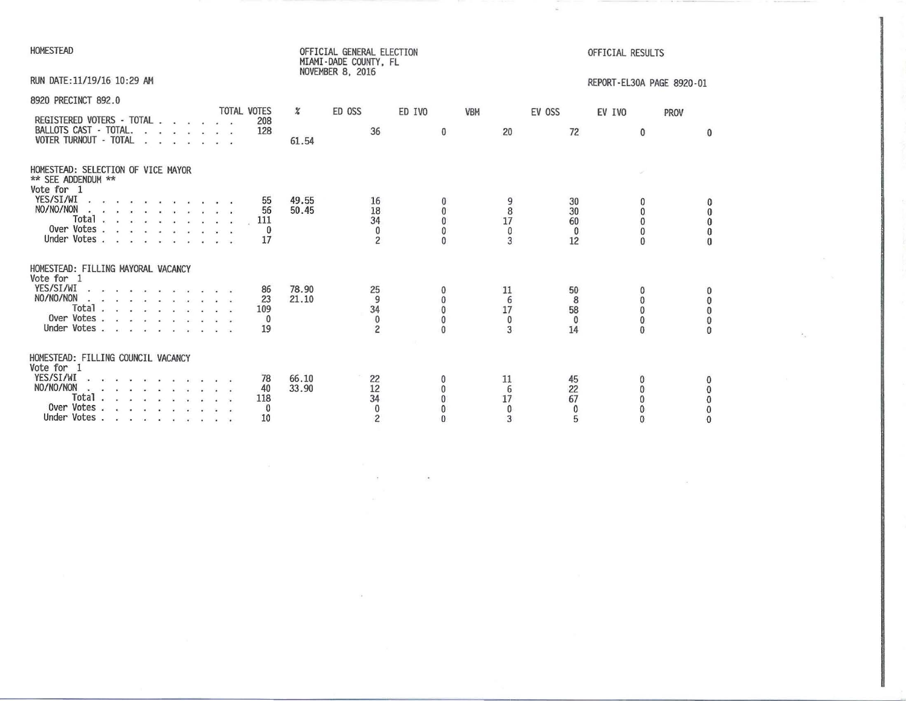| HOMESTEAD                                                                                                                                                                                                                    |                                      |                | OFFICIAL GENERAL ELECTION<br>MIAMI-DADE COUNTY, FL<br>NOVEMBER 8, 2016 |                                                      |                                    |                                     | OFFICIAL RESULTS                                           |                                                               |
|------------------------------------------------------------------------------------------------------------------------------------------------------------------------------------------------------------------------------|--------------------------------------|----------------|------------------------------------------------------------------------|------------------------------------------------------|------------------------------------|-------------------------------------|------------------------------------------------------------|---------------------------------------------------------------|
| RUN DATE: 11/19/16 10:29 AM                                                                                                                                                                                                  |                                      |                |                                                                        |                                                      |                                    |                                     | REPORT-EL30A PAGE 8920-01                                  |                                                               |
| 8920 PRECINCT 892.0<br>REGISTERED VOTERS - TOTAL<br>BALLOTS CAST - TOTAL.<br>VOTER TURNOUT - TOTAL                                                                                                                           | <b>TOTAL VOTES</b><br>208<br>128     | $\%$<br>61.54  | ED OSS<br>36                                                           | ED IVO<br>$\bf{0}$                                   | VBM<br>20                          | EV OSS<br>72                        | EV IVO<br>$\Omega$                                         | PROV<br>$\Omega$                                              |
| HOMESTEAD: SELECTION OF VICE MAYOR<br>** SEE ADDENDUM **<br>Vote for 1<br>YES/SI/WI<br>Total<br>Over Votes<br>Under Votes                                                                                                    | 55<br>56<br>111<br>0<br>17           | 49.55<br>50.45 | 16<br>18<br>34<br>0<br>$\overline{c}$                                  | $\bf{0}$<br>$\mathbf{0}$<br>$\mathbf{0}$<br>$\Omega$ | 9<br>8<br>17<br>0<br>3             | 30<br>30<br>60<br>0<br>12           | 0<br>0<br>0<br>0<br>$\Omega$                               | 0<br>$\ddot{\mathbf{0}}$<br>$\pmb{0}$<br>$\bf{0}$<br>$\theta$ |
| HOMESTEAD: FILLING MAYORAL VACANCY<br>Vote for 1<br>YES/SI/WI<br>position of the control of the con-<br>NO/NO/NON<br>action of the contract of the<br>Total $\ldots$ $\ldots$ $\ldots$ $\ldots$<br>Over Votes<br>Under Votes | 86<br>23<br>109<br>$\theta$<br>19    | 78.90<br>21.10 | 25<br>9<br>34<br>$\bf{0}$<br>2                                         | $\theta$<br>$\theta$<br>$\mathbf{0}$<br>$\theta$     | 11<br>6<br>17<br>$^{\circ}$<br>3   | 50<br>8<br>58<br>$\mathbf{0}$<br>14 | $^{\circ}$<br>$\Omega$<br>$\Omega$<br>$\theta$<br>$\theta$ | $\begin{smallmatrix}0&&0\0&0&0\end{smallmatrix}$<br>$\Omega$  |
| HOMESTEAD: FILLING COUNCIL VACANCY<br>Vote for 1<br>YES/SI/WI<br>$NO/NO/NON$<br>Total $\cdots$ $\cdots$ $\cdots$<br>Over Votes<br>Under Votes                                                                                | 78<br>40<br>118<br>$\mathbf 0$<br>10 | 66.10<br>33.90 | 22<br>12<br>34<br>$\theta$<br>$\overline{c}$                           | $\bf{0}$                                             | 11<br>6<br>17<br>$\mathbf{0}$<br>3 | 45<br>22<br>67<br>0<br>5            | 0<br>0<br>0<br>$\Omega$                                    | 0<br>000<br>$\bf{0}$                                          |

 $\label{eq:2.1} \mathcal{L} = \mathcal{L} \left( \begin{array}{ccccc} \mathcal{L} & \mathcal{L} & \mathcal{L} & \mathcal{L} & \mathcal{L} & \mathcal{L} \\ \mathcal{L} & \mathcal{L} & \mathcal{L} & \mathcal{L} & \mathcal{L} & \mathcal{L} \\ \mathcal{L} & \mathcal{L} & \mathcal{L} & \mathcal{L} & \mathcal{L} \end{array} \right)$ 

 $\label{eq:3.1} \begin{array}{ll} \mathbf{S}_{11} & \mathbf{S}_{22} & \mathbf{S}_{33} \\ \mathbf{S}_{11} & \mathbf{S}_{22} & \mathbf{S}_{33} \\ \mathbf{S}_{23} & \mathbf{S}_{33} & \mathbf{S}_{33} \\ \end{array}$ 

 $\mathcal{F}_{\mathcal{M}^{(n)}}$  .

 $\label{eq:1.1} \mathcal{H}=\mathcal{H}^{\frac{1}{2}}\left(\mathcal{H}^{\frac{1}{2}}\right)^{\frac{1}{2}}\mathcal{H}^{\frac{1}{2}}\left(\mathcal{H}^{\frac{1}{2}}\right)^{\frac{1}{2}}\mathcal{H}^{\frac{1}{2}}\left(\mathcal{H}^{\frac{1}{2}}\right)^{\frac{1}{2}}\mathcal{H}^{\frac{1}{2}}\left(\mathcal{H}^{\frac{1}{2}}\right)^{\frac{1}{2}}\mathcal{H}^{\frac{1}{2}}\left(\mathcal{H}^{\frac{1}{2}}\right)^{\frac{1}{2}}\mathcal{H$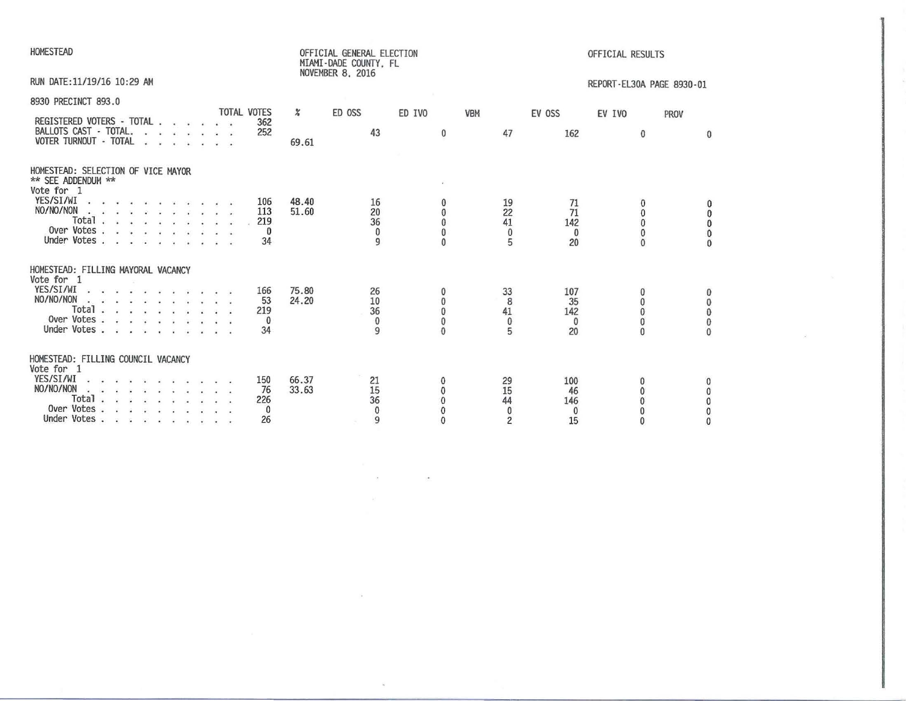| HOMESTEAD                                                                                                                                                                                                                                                                       | OFFICIAL RESULTS                                                                                             |                                                                          |                                                                                                                                             |  |  |  |  |
|---------------------------------------------------------------------------------------------------------------------------------------------------------------------------------------------------------------------------------------------------------------------------------|--------------------------------------------------------------------------------------------------------------|--------------------------------------------------------------------------|---------------------------------------------------------------------------------------------------------------------------------------------|--|--|--|--|
| RUN DATE: 11/19/16 10:29 AM                                                                                                                                                                                                                                                     | NOVEMBER 8, 2016<br>REPORT-EL30A PAGE 8930-01                                                                |                                                                          |                                                                                                                                             |  |  |  |  |
| 8930 PRECINCT 893.0<br><b>TOTAL VOTES</b><br>REGISTERED VOTERS - TOTAL<br>362<br>BALLOTS CAST - TOTAL.<br>252<br>VOTER TURNOUT - TOTAL                                                                                                                                          | $\frac{a}{a}$<br>ED OSS<br>ED IVO<br>43<br>$\mathbf{0}$<br>69.61                                             | <b>VBM</b><br>EV OSS<br>47<br>162                                        | EV IVO<br>PROV<br>$\bf{0}$<br>$\mathbf{0}$                                                                                                  |  |  |  |  |
| HOMESTEAD: SELECTION OF VICE MAYOR<br>** SEE ADDENDUM **<br>Vote for 1<br>YES/SI/WI $\cdots$ $\cdots$ $\cdots$<br>106<br>NO/NO/NON<br>113<br>Total $\cdots$ $\cdots$<br>219<br>Over Votes<br>0<br>Under Votes<br>34                                                             | 48.40<br>16<br>20<br>51.60<br>$\mathbf{0}$<br>36<br>$\mathbf{0}$<br>$\bf{0}$<br>$\theta$<br>9<br>$\theta$    | 19<br>71<br>22<br>71<br>41<br>142<br>$\bf{0}$<br>$\bf{0}$<br>5<br>20     | 0<br>$\mathbf{0}$<br>0<br>$\mathbf{0}$<br>$\mathbf{0}$<br>$\pmb{0}$<br>$\mathbf{0}$<br>$\mathbf{0}$<br>$\mathbf{0}$                         |  |  |  |  |
| HOMESTEAD: FILLING MAYORAL VACANCY<br>Vote for 1<br>YES/SI/WI $\cdots$ $\cdots$ $\cdots$<br>166<br>$NO/NO/NON$<br>53<br>Total $\ldots$ $\ldots$ $\ldots$ $\ldots$<br>219<br>Over Votes $\ldots$ $\ldots$<br>$\mathbf{0}$<br>Under Votes<br>34<br>$\sim$<br>$\ddot{\phantom{a}}$ | 75.80<br>26<br>24.20<br>10<br>$\bf{0}$<br>36<br>$\bf{0}$<br>$\bf{0}$<br>$\theta$<br>$\mathbf{Q}$<br>$\Omega$ | 33<br>107<br>8<br>35<br>41<br>142<br>$\bf{0}$<br>$\mathbf{0}$<br>5<br>20 | $\begin{matrix} 0 \\ 0 \end{matrix}$<br>$\mathbf{0}$<br>$\bar{0}$<br>$\mathbf{0}$<br>$\pmb{0}$<br>$\pmb{0}$<br>$\mathbf{0}$<br>$\mathbf{0}$ |  |  |  |  |
| HOMESTEAD: FILLING COUNCIL VACANCY<br>Vote for 1<br>YES/SI/WI<br>150<br>NO/NO/NON<br>76<br>Total<br>226<br>Over Votes<br>$\mathbf{0}$<br>Under Votes<br>26                                                                                                                      | 66.37<br>21<br>0<br>15<br>33.63<br>0<br>36<br>$\bf{0}$<br>$\bf{0}$<br>0<br>$\overline{9}$<br>$\bf{0}$        | 29<br>100<br>15<br>46<br>44<br>146<br>0<br>0<br>$\overline{c}$<br>15     | $\mathbf{0}$<br>0<br>$\mathbf 0$<br>$\mathbf{0}$<br>$\theta$<br>0<br>$\mathbf{0}$<br>$\Omega$                                               |  |  |  |  |

 $\label{eq:2.1} \mathcal{F} = \mathcal{F} \circ \mathcal{F} = \mathcal{F} \circ \mathcal{F}$ 

 $\mathcal{A}$  . The contract of the contract of the contract of the contract of the contract of the contract of

 $\mathcal{R}^{\text{max}}_{\text{max}}$